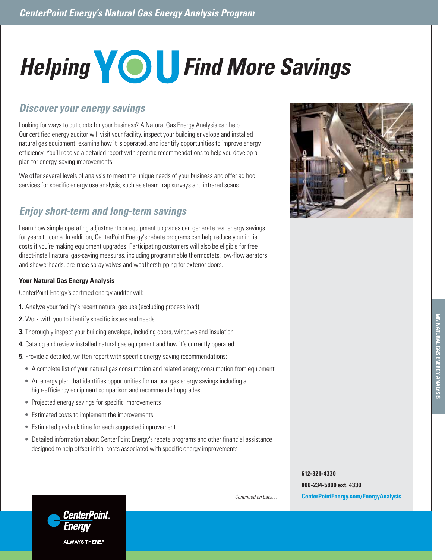# **Helping COU** Find More Savings

## *Discover your energy savings*

Looking for ways to cut costs for your business? A Natural Gas Energy Analysis can help. Our certified energy auditor will visit your facility, inspect your building envelope and installed natural gas equipment, examine how it is operated, and identify opportunities to improve energy efficiency. You'll receive a detailed report with specific recommendations to help you develop a plan for energy-saving improvements.

We offer several levels of analysis to meet the unique needs of your business and offer ad hoc services for specific energy use analysis, such as steam trap surveys and infrared scans.

# *Enjoy short-term and long-term savings*

Learn how simple operating adjustments or equipment upgrades can generate real energy savings for years to come. In addition, CenterPoint Energy's rebate programs can help reduce your initial costs if you're making equipment upgrades. Participating customers will also be eligible for free direct-install natural gas-saving measures, including programmable thermostats, low-flow aerators and showerheads, pre-rinse spray valves and weatherstripping for exterior doors.

#### **Your Natural Gas Energy Analysis**

CenterPoint Energy's certified energy auditor will:

- **1.** Analyze your facility's recent natural gas use (excluding process load)
- **2.** Work with you to identify specific issues and needs
- **3.** Thoroughly inspect your building envelope, including doors, windows and insulation
- **4.** Catalog and review installed natural gas equipment and how it's currently operated
- **5.** Provide a detailed, written report with specific energy-saving recommendations:
	- **•** A complete list of your natural gas consumption and related energy consumption from equipment
	- **•** An energy plan that identifies opportunities for natural gas energy savings including a high-efficiency equipment comparison and recommended upgrades
	- **•** Projected energy savings for specific improvements
	- **•** Estimated costs to implement the improvements
	- **•** Estimated payback time for each suggested improvement
	- **•** Detailed information about CenterPoint Energy's rebate programs and other financial assistance designed to help offset initial costs associated with specific energy improvements



**800-234-5800 ext. 4330 CenterPointEnergy.com/EnergyAnalysis**





*Continued on back…*